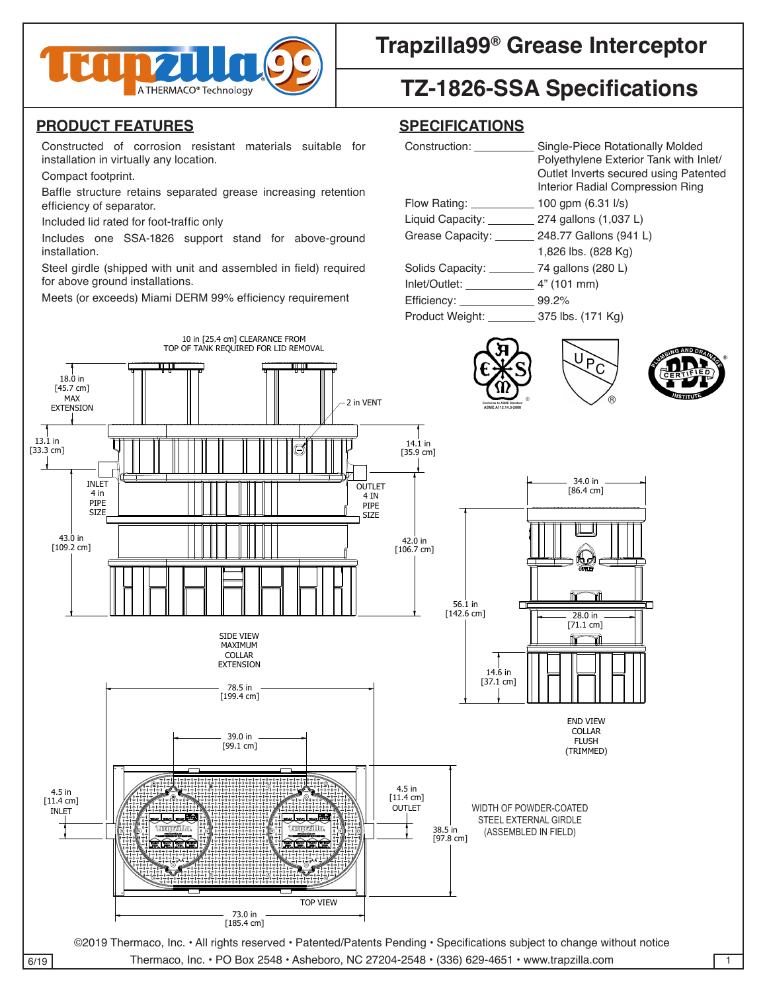

# **Trapzilla99<sup>®</sup> Grease Interceptor | 2009**

# **TZ-1826-SSA Specifications**

#### **PRODUCT FEATURES SPECIFICATIONS** INLET

Constructed of corrosion resistant materials suitable for installation in virtually any location.

[199.4 cm]

## **SPECIFICATIONS**

| corrosion resistant materials suitable for<br>Constructed of<br>installation in virtually any location. | Construction:      | Single-Piece Rotationally Molded<br>Polyethylene Exterior Tank with Inlet/ |  |
|---------------------------------------------------------------------------------------------------------|--------------------|----------------------------------------------------------------------------|--|
| Compact footprint.                                                                                      |                    | Outlet Inverts secured using Patented                                      |  |
| Baffle structure retains separated grease increasing retention                                          |                    | Interior Radial Compression Ring                                           |  |
| efficiency of separator.                                                                                | Flow Rating: __    | 100 gpm $(6.31 \text{ l/s})$                                               |  |
| Included lid rated for foot-traffic only                                                                | Liquid Capacity: _ | 274 gallons (1,037 L)                                                      |  |
| Includes one SSA-1826 support stand for<br>above-ground<br>installation.                                | Grease Capacity: _ | 248.77 Gallons (941 L)                                                     |  |
|                                                                                                         |                    | 1,826 lbs. (828 Kg)                                                        |  |
| Steel girdle (shipped with unit and assembled in field) required<br>for above ground installations.     | Solids Capacity: _ | 74 gallons (280 L)                                                         |  |
|                                                                                                         | Inlet/Outlet:      | $4"$ (101 mm)                                                              |  |
| Meets (or exceeds) Miami DERM 99% efficiency requirement                                                | Efficiency: _      | 99.2%                                                                      |  |
|                                                                                                         | Product Weight:    | 375 lbs. (171 Kg)                                                          |  |
|                                                                                                         |                    |                                                                            |  |